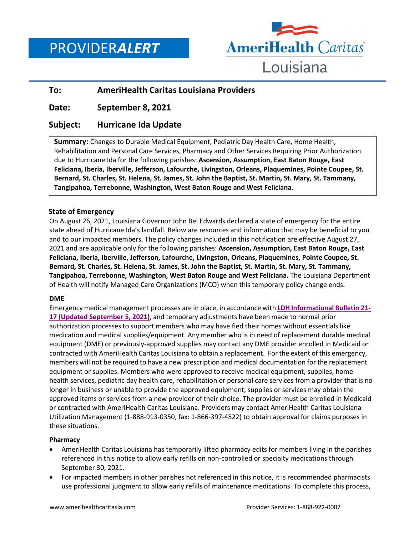# PROVIDER*ALERT*



## **To: AmeriHealth Caritas Louisiana Providers**

## **Date: September 8, 2021**

## **Subject: Hurricane Ida Update**

**Summary:** Changes to Durable Medical Equipment, Pediatric Day Health Care, Home Health, Rehabilitation and Personal Care Services, Pharmacy and Other Services Requiring Prior Authorization due to Hurricane Ida for the following parishes: **Ascension, Assumption, East Baton Rouge, East Feliciana, Iberia, Iberville, Jefferson, Lafourche, Livingston, Orleans, Plaquemines, Pointe Coupee, St. Bernard, St. Charles, St. Helena, St. James, St. John the Baptist, St. Martin, St. Mary, St. Tammany, Tangipahoa, Terrebonne, Washington, West Baton Rouge and West Feliciana.**

#### **State of Emergency**

On August 26, 2021, Louisiana Governor John Bel Edwards declared a state of emergency for the entire state ahead of Hurricane Ida's landfall. Below are resources and information that may be beneficial to you and to our impacted members. The policy changes included in this notification are effective August 27, 2021 and are applicable only for the following parishes: **Ascension, Assumption, East Baton Rouge, East Feliciana, Iberia, Iberville, Jefferson, Lafourche, Livingston, Orleans, Plaquemines, Pointe Coupee, St. Bernard, St. Charles, St. Helena, St. James, St. John the Baptist, St. Martin, St. Mary, St. Tammany, Tangipahoa, Terrebonne, Washington, West Baton Rouge and West Feliciana.** The Louisiana Department of Health will notify Managed Care Organizations (MCO) when this temporary policy change ends.

#### **DME**

Emergency medical management processes are in place, in accordance with **[LDH Informational](https://ldh.la.gov/index.cfm/page/4254) Bulletin [21-](https://ldh.la.gov/index.cfm/page/4254) 17 [\(Updated September 5, 2021\)](https://ldh.la.gov/index.cfm/page/4254)**, and temporary adjustments have been made to normal prior authorization processes to support members who may have fled their homes without essentials like medication and medical supplies/equipment. Any member who is in need of replacement durable medical equipment (DME) or previously-approved supplies may contact any DME provider enrolled in Medicaid or contracted with AmeriHealth Caritas Louisiana to obtain a replacement. For the extent of this emergency, members will not be required to have a new prescription and medical documentation for the replacement equipment or supplies. Members who were approved to receive medical equipment, supplies, home health services, pediatric day health care, rehabilitation or personal care services from a provider that is no longer in business or unable to provide the approved equipment, supplies or services may obtain the approved items or services from a new provider of their choice. The provider must be enrolled in Medicaid or contracted with AmeriHealth Caritas Louisiana. Providers may contact AmeriHealth Caritas Louisiana Utilization Management (1-888-913-0350, fax: 1-866-397-4522) to obtain approval for claims purposes in these situations.

#### **Pharmacy**

- AmeriHealth Caritas Louisiana has temporarily lifted pharmacy edits for members living in the parishes referenced in this notice to allow early refills on non-controlled or specialty medications through September 30, 2021.
- For impacted members in other parishes not referenced in this notice, it is recommended pharmacists use professional judgment to allow early refills of maintenance medications. To complete this process,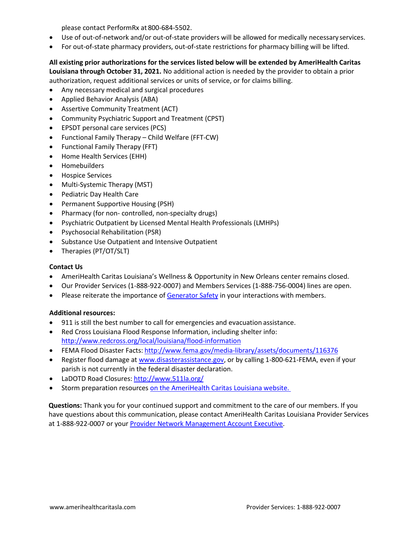please contact PerformRx at 800-684-5502.

- Use of out-of-network and/or out-of-state providers will be allowed for medically necessary services.
- For out-of-state pharmacy providers, out-of-state restrictions for pharmacy billing will be lifted.

#### **All existing prior authorizations for the services listed below will be extended by AmeriHealth Caritas Louisiana through October 31, 2021.** No additional action is needed by the provider to obtain a prior authorization, request additional services or units of service, or for claims billing.

- Any necessary medical and surgical procedures
- Applied Behavior Analysis (ABA)
- Assertive Community Treatment (ACT)
- Community Psychiatric Support and Treatment (CPST)
- EPSDT personal care services (PCS)
- Functional Family Therapy Child Welfare (FFT-CW)
- Functional Family Therapy (FFT)
- Home Health Services (EHH)
- Homebuilders
- Hospice Services
- Multi-Systemic Therapy (MST)
- Pediatric Day Health Care
- Permanent Supportive Housing (PSH)
- Pharmacy (for non- controlled, non-specialty drugs)
- Psychiatric Outpatient by Licensed Mental Health Professionals (LMHPs)
- Psychosocial Rehabilitation (PSR)
- Substance Use Outpatient and Intensive Outpatient
- Therapies (PT/OT/SLT)

#### **Contact Us**

- AmeriHealth Caritas Louisiana's Wellness & Opportunity in New Orleans center remains closed.
- Our Provider Services (1-888-922-0007) and Members Services (1-888-756-0004) lines are open.
- Please reiterate the importance of [Generator Safety](https://www.amerihealthcaritasla.com/pdf/member/083120-member-alert-generator-safety-guide.pdf) in your interactions with members.

#### **Additional resources:**

- 911 is still the best number to call for emergencies and evacuation assistance.
- Red Cross Louisiana Flood Response Information, including shelter info[:](http://www.redcross.org/local/louisiana/flood-information) <http://www.redcross.org/local/louisiana/flood-information>
- FEMA Flood Disaster Facts: <http://www.fema.gov/media-library/assets/documents/116376>
- Register flood damage at [www.disasterassistance.gov,](http://www.disasterassistance.gov/) or by calling 1-800-621-FEMA, even if your parish is not currently in the federal disaster declaration.
- LaDOTD Road Closures: <http://www.511la.org/>
- Storm preparation resources [on the AmeriHealth Caritas Louisiana](https://www.amerihealthcaritasla.com/member/eng/info/hurricane-messaging.aspx) website.

**Questions:** Thank you for your continued support and commitment to the care of our members. If you have questions about this communication, please contact AmeriHealth Caritas Louisiana Provider Services at 1-888-922-0007 or your [Provider Network Management Account Executive.](http://www.amerihealthcaritasla.com/pdf/provider/account-executives.pdf)